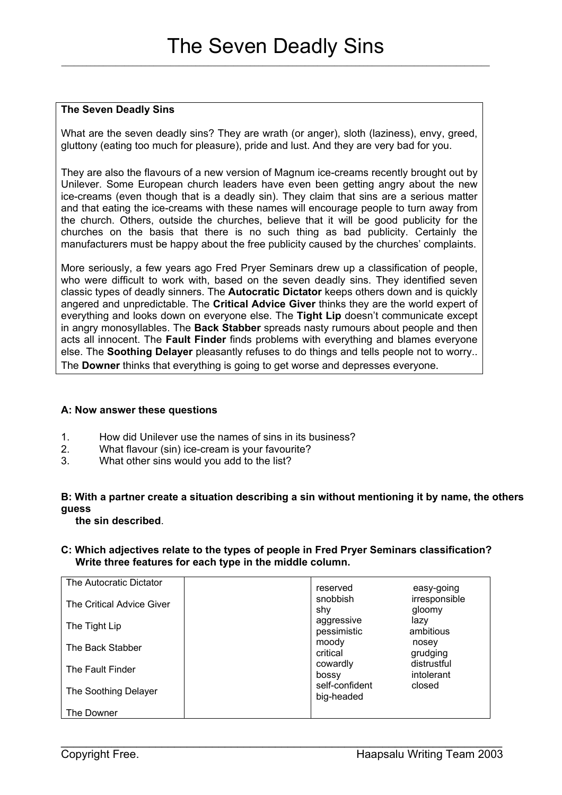#### **The Seven Deadly Sins**

What are the seven deadly sins? They are wrath (or anger), sloth (laziness), envy, greed, gluttony (eating too much for pleasure), pride and lust. And they are very bad for you.

They are also the flavours of a new version of Magnum ice-creams recently brought out by Unilever. Some European church leaders have even been getting angry about the new ice-creams (even though that is a deadly sin). They claim that sins are a serious matter and that eating the ice-creams with these names will encourage people to turn away from the church. Others, outside the churches, believe that it will be good publicity for the churches on the basis that there is no such thing as bad publicity. Certainly the manufacturers must be happy about the free publicity caused by the churches' complaints.

More seriously, a few years ago Fred Pryer Seminars drew up a classification of people, who were difficult to work with, based on the seven deadly sins. They identified seven classic types of deadly sinners. The **Autocratic Dictator** keeps others down and is quickly angered and unpredictable. The **Critical Advice Giver** thinks they are the world expert of everything and looks down on everyone else. The **Tight Lip** doesn't communicate except in angry monosyllables. The **Back Stabber** spreads nasty rumours about people and then acts all innocent. The **Fault Finder** finds problems with everything and blames everyone else. The **Soothing Delayer** pleasantly refuses to do things and tells people not to worry.. The **Downer** thinks that everything is going to get worse and depresses everyone.

#### **A: Now answer these questions**

- 1. How did Unilever use the names of sins in its business?
- 2. What flavour (sin) ice-cream is your favourite?<br>3 What other sins would you add to the list?
- What other sins would you add to the list?

# **B: With a partner create a situation describing a sin without mentioning it by name, the others guess**

## **the sin described**.

#### **C: Which adjectives relate to the types of people in Fred Pryer Seminars classification? Write three features for each type in the middle column.**

| The Autocratic Dictator   | reserved                     | easy-going                |
|---------------------------|------------------------------|---------------------------|
| The Critical Advice Giver | snobbish<br>shy              | irresponsible<br>gloomy   |
| The Tight Lip             | aggressive<br>pessimistic    | lazy<br>ambitious         |
| The Back Stabber          | moody<br>critical            | nosey<br>grudging         |
| The Fault Finder          | cowardly<br>bossy            | distrustful<br>intolerant |
| The Soothing Delayer      | self-confident<br>big-headed | closed                    |
| The Downer                |                              |                           |

 $\mathcal{L}_\text{max}$  and  $\mathcal{L}_\text{max}$  and  $\mathcal{L}_\text{max}$  and  $\mathcal{L}_\text{max}$  and  $\mathcal{L}_\text{max}$  and  $\mathcal{L}_\text{max}$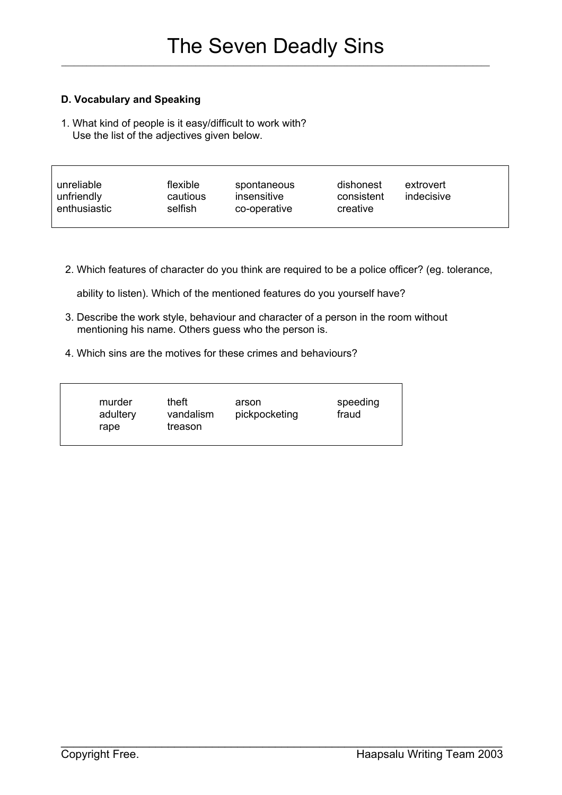## **D. Vocabulary and Speaking**

1. What kind of people is it easy/difficult to work with? Use the list of the adjectives given below.

| unreliable<br>unfriendly<br>enthusiastic | flexible<br>cautious<br>selfish | spontaneous<br>insensitive<br>co-operative | dishonest<br>consistent<br>creative | extrovert<br>indecisive |
|------------------------------------------|---------------------------------|--------------------------------------------|-------------------------------------|-------------------------|
|------------------------------------------|---------------------------------|--------------------------------------------|-------------------------------------|-------------------------|

2. Which features of character do you think are required to be a police officer? (eg. tolerance,

 $\mathcal{L}_\text{max}$  and  $\mathcal{L}_\text{max}$  and  $\mathcal{L}_\text{max}$  and  $\mathcal{L}_\text{max}$  and  $\mathcal{L}_\text{max}$  and  $\mathcal{L}_\text{max}$ 

ability to listen). Which of the mentioned features do you yourself have?

- 3. Describe the work style, behaviour and character of a person in the room without mentioning his name. Others guess who the person is.
- 4. Which sins are the motives for these crimes and behaviours?

| murder<br>adultery<br>rape | theft<br>vandalism<br>treason | arson<br>pickpocketing | speeding<br>fraud |
|----------------------------|-------------------------------|------------------------|-------------------|
|----------------------------|-------------------------------|------------------------|-------------------|